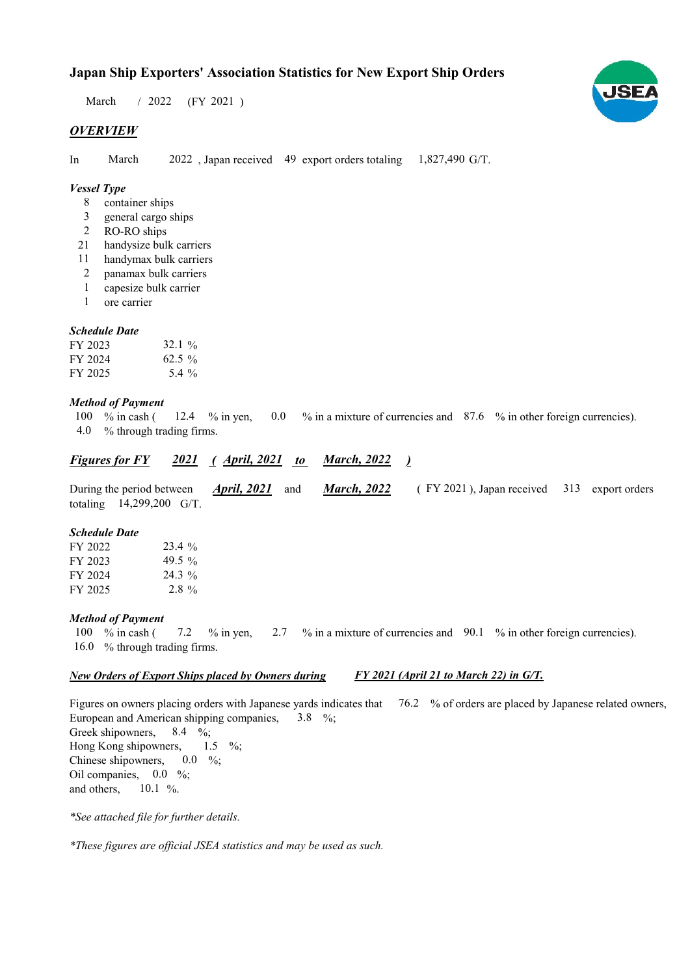# **Japan Ship Exporters' Association Statistics for New Export Ship Orders**

 $/ 2022$  (FY 2021) March

# *OVERVIEW*

In March 2022, Japan received 49 export orders totaling 1,827,490 G/T. March

## *Vessel Type*

- container ships 8
- general cargo ships 3
- RO-RO ships 2
- handysize bulk carriers 21
- handymax bulk carriers 11
- panamax bulk carriers 2
- capesize bulk carrier 1
- ore carrier 1

### *Schedule Date*

| FY 2023 | $32.1\%$ |
|---------|----------|
| FY 2024 | $62.5\%$ |
| FY 2025 | 5.4 $\%$ |

### *Method of Payment*

% in cash ( $12.4$  % in yen,  $0.0$  % in a mixture of currencies and 87.6 % in other foreign currencies). % through trading firms. 4.0 12.4 % in yen, 100  $%$  in cash (

#### *Figures for FY* 2021 (*April, 2021 to March, 2022* ) *March, 2022*

During the period between *April, 2021* and *March, 2022* (FY 2021), Japan received 313 export orders totaling  $14,299,200$  G/T. *March, 2022 April, 2021*

#### *Schedule Date*

| FY 2022 | $23.4\%$  |
|---------|-----------|
| FY 2023 | 49.5 $\%$ |
| FY 2024 | 24.3 %    |
| FY 2025 | $2.8\%$   |

### *Method of Payment*

% in cash ( $\frac{7.2}{8}$  % in yen,  $\frac{2.7}{8}$  % in a mixture of currencies and  $\frac{90.1}{8}$  % in other foreign currencies). 16.0 % through trading firms. 100 % in cash ( 7.2

#### *New Orders of Export Ships placed by Owners during FY 2021 (April 21 to March 22) in G/T.*

Figures on owners placing orders with Japanese yards indicates that 76.2 % of orders are placed by Japanese related owners, European and American shipping companies,  $3.8\%$ ; Greek shipowners, Hong Kong shipowners, Chinese shipowners, Oil companies,  $0.0\%$ ; and others, 10.1  $%$  $0.0\%$  $1.5 \frac{9}{6}$ ;  $8.4\frac{\ }{6}$ :

*\*See attached file for further details.*

*\*These figures are official JSEA statistics and may be used as such.*

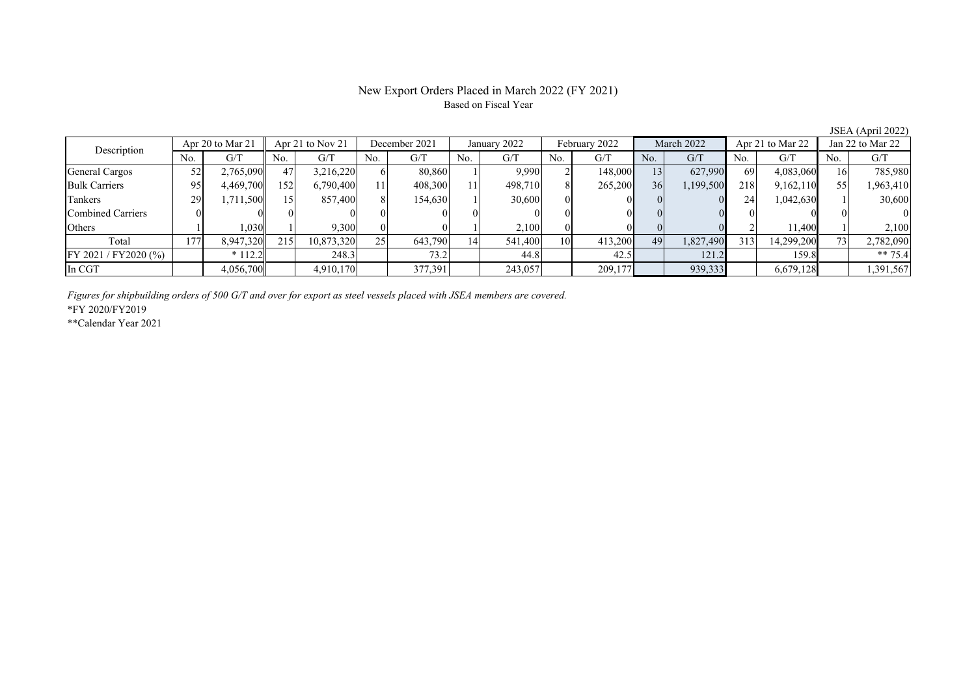# New Export Orders Placed in March 2022 (FY 2021) Based on Fiscal Year

No. G/T No. G/T No. G/T No. G/T No. G/T No. G/T No. G/T No. G/T $G/T$ General Cargos ( 52 2,765,090 47 3,216,220 6 80,860 1 9,990 2 148,000 13 627,990 69 4,083,060 16 785,980 Bulk Carriers 95 4,469,700 152 6,790,400 11 408,300 11 498,710 8 265,200 36 1,199,500 218 9,162,110 55 1,963,410 Tankers | 29 1,711,500 15 857,400 8 154,630 1 30,600 0 0 0 0 0 24 1,042,630 1 30,600 Combined Carriers 0 0 0 0 0 0 0 0 0 0 0 0 0 0 0 0Others 1 1 1,030 1 9,300 0 0 1 2,100 0 0 0 0 2 11,400 1 2,100 Total 177 8,947,320 215 10,873,320 25 643,790 14 541,400 10 413,200 49 1,827,490 313 14,299,200 73 2,782,090 FY 2021 / FY2020 (%) \* 112.2 248.3 73.2 44.8 42.5 121.2 159.8 \*\* 75.4 In CGT 4,056,700 4,910,170 377,391 243,057 209,177 939,333 6,679,128 1,391,567 Apr 21 to Nov 21 December 2021 January 2022 Description Apr 20 to Mar 21 February 2022 March 2022 Apr 21 to Mar 22 Jan 22 to Mar 22

*Figures for shipbuilding orders of 500 G/T and over for export as steel vessels placed with JSEA members are covered.*

\*FY 2020/FY2019

\*\*Calendar Year 2021

JSEA (April 2022)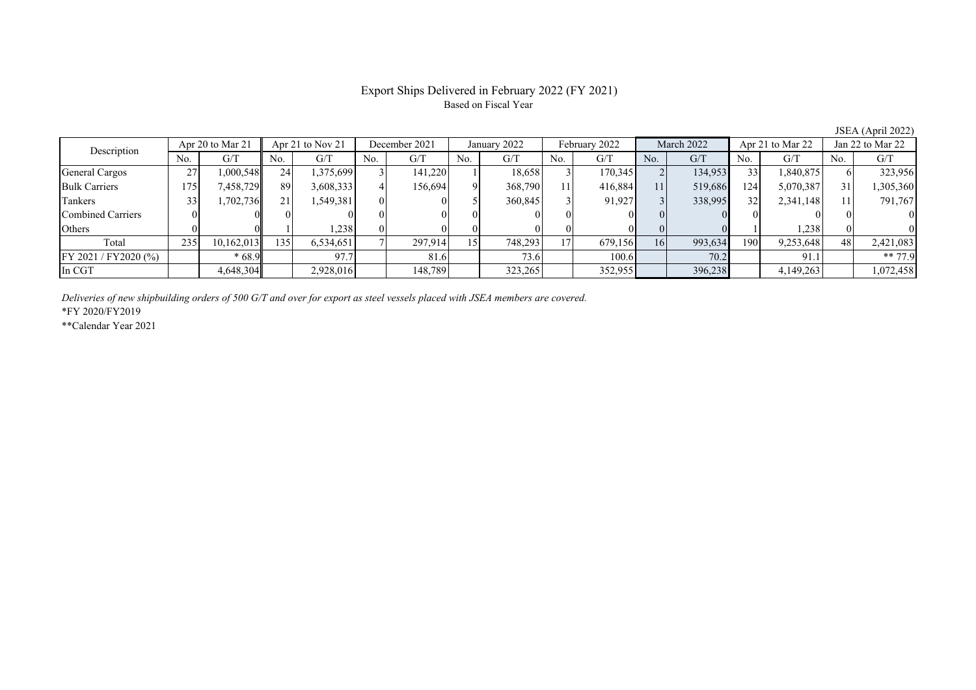# Export Ships Delivered in February 2022 (FY 2021) Based on Fiscal Year

JSEA (April 2022)

| Description           |                  | Apr 20 to Mar 21 | Apr 21 to Nov 21 |           | December 2021 |         | January 2022 |         | February 2022 |         | March 2022 |         | Apr 21 to Mar 22 |           | Jan 22 to Mar 22 |           |
|-----------------------|------------------|------------------|------------------|-----------|---------------|---------|--------------|---------|---------------|---------|------------|---------|------------------|-----------|------------------|-----------|
|                       | No.              | G/T              | No.              | G/T       | No.           | G/T     | No.          | G/T     | No.           | G/T     | No.        | G/T     | No.              | G/T       | No.              | G/T       |
| <b>General Cargos</b> | 27<br>$\angle l$ | 0.000,548        | 24               | 1,375,699 |               | 141,220 |              | 18,658  |               | 170,345 |            | 134,953 | 33               | 1,840,875 |                  | 323,956   |
| <b>Bulk Carriers</b>  | 175              | 7,458,729        | 89               | 3,608,333 |               | 156,694 |              | 368,790 |               | 416,884 | 11         | 519,686 | 124              | 5,070,387 |                  | 1,305,360 |
| Tankers               | 33               | 1,702,736        | 21 <sub>1</sub>  | 1,549,381 | $\theta$      |         |              | 360,845 |               | 91,927  |            | 338,995 | 32               | 2,341,148 |                  | 791,767   |
| Combined Carriers     |                  |                  |                  |           |               |         |              |         |               |         |            |         |                  |           |                  |           |
| Others                |                  |                  |                  | 1,238     |               |         |              |         |               |         |            |         |                  | .238      |                  |           |
| Total                 | 235              | 10,162,013       | 1351             | 6,534,651 |               | 297,914 |              | 748,293 |               | 679,156 | 16         | 993,634 | 190              | 9,253,648 | 48               | 2,421,083 |
| FY 2021 / FY 2020 (%) |                  | $*68.9$          |                  | 97.7      |               | 81.6    |              | 73.6    |               | 100.6   |            | 70.2    |                  | 91.1      |                  | ** 77.9   |
| In CGT                |                  | 4,648,304        |                  | 2,928,016 |               | 148.789 |              | 323,265 |               | 352,955 |            | 396,238 |                  | 4,149,263 |                  | 1,072,458 |

*Deliveries of new shipbuilding orders of 500 G/T and over for export as steel vessels placed with JSEA members are covered.*

\*FY 2020/FY2019

\*\*Calendar Year 2021